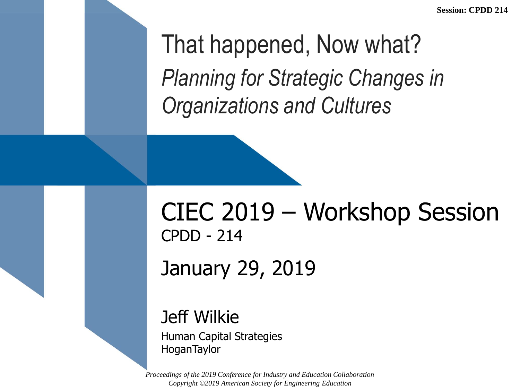That happened, Now what? *Planning for Strategic Changes in Organizations and Cultures*

#### CIEC 2019 – Workshop Session CPDD - 214 January 29, 2019

#### Jeff Wilkie

Human Capital Strategies **HoganTaylor**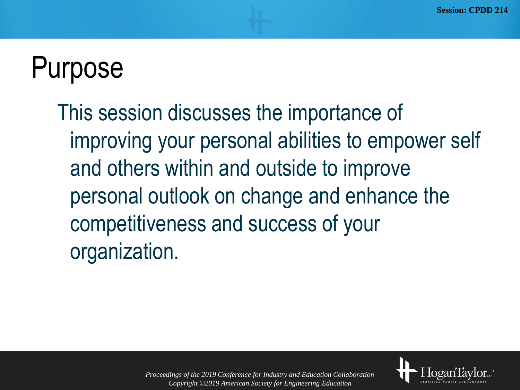## Purpose

This session discusses the importance of improving your personal abilities to empower self and others within and outside to improve personal outlook on change and enhance the competitiveness and success of your organization.

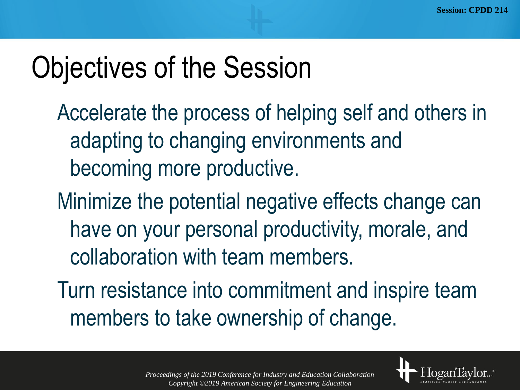# Objectives of the Session

- Accelerate the process of helping self and others in adapting to changing environments and becoming more productive.
- Minimize the potential negative effects change can have on your personal productivity, morale, and collaboration with team members.
- Turn resistance into commitment and inspire team members to take ownership of change.



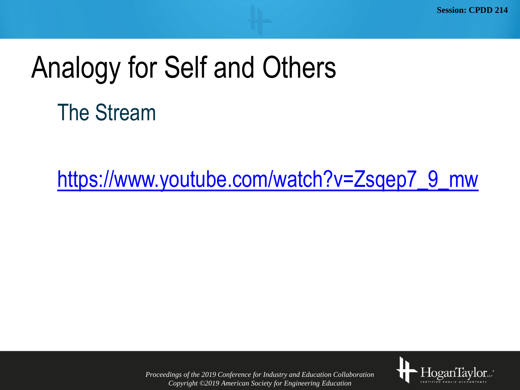# Analogy for Self and Others

The Stream

[https://www.youtube.com/watch?v=Zsqep7\\_9\\_mw](https://www.youtube.com/watch?v=Zsqep7_9_mw)

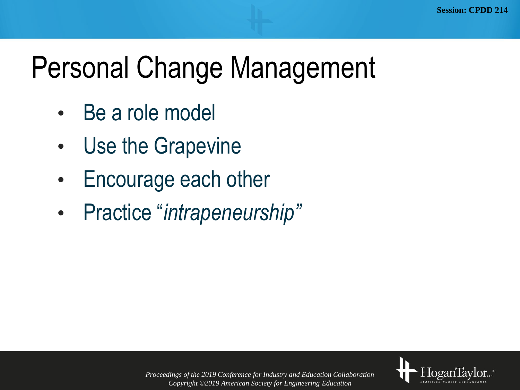# Personal Change Management

- Be a role model
- Use the Grapevine
- Encourage each other
- Practice "*intrapeneurship"*

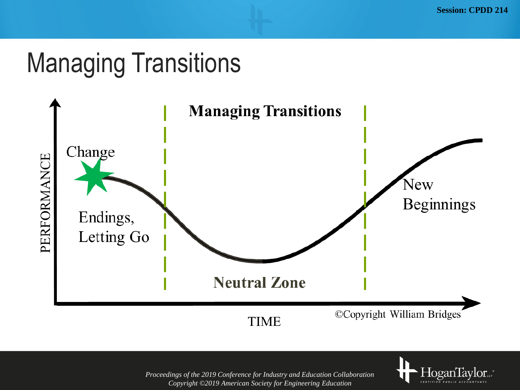#### Managing Transitions



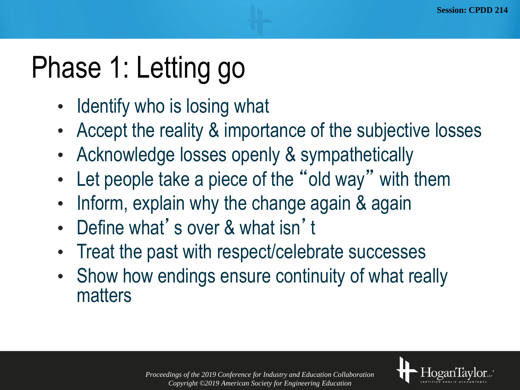# Phase 1: Letting go

- Identify who is losing what
- Accept the reality & importance of the subjective losses
- Acknowledge losses openly & sympathetically
- Let people take a piece of the "old way" with them
- Inform, explain why the change again & again
- Define what's over & what isn't
- Treat the past with respect/celebrate successes
- Show how endings ensure continuity of what really matters

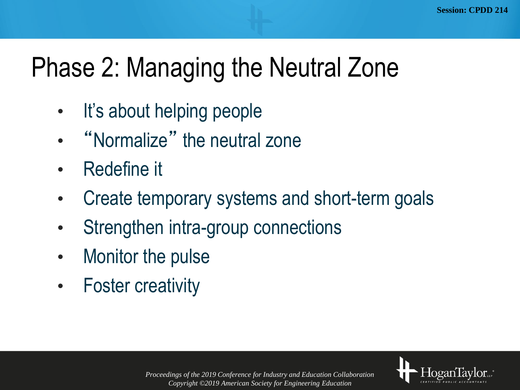### Phase 2: Managing the Neutral Zone

- It's about helping people
- "Normalize" the neutral zone
- Redefine it
- Create temporary systems and short-term goals
- Strengthen intra-group connections
- Monitor the pulse
- Foster creativity

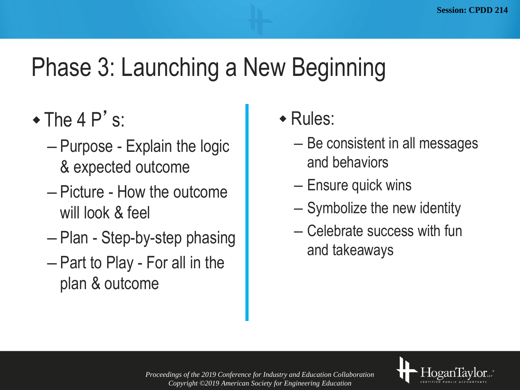#### Phase 3: Launching a New Beginning

- $\bullet$  The 4 P's:
	- Purpose Explain the logic & expected outcome
	- Picture How the outcome will look & feel
	- Plan Step-by-step phasing
	- Part to Play For all in the plan & outcome
- Rules:
	- Be consistent in all messages and behaviors
	- Ensure quick wins
	- Symbolize the new identity
	- Celebrate success with fun and takeaways

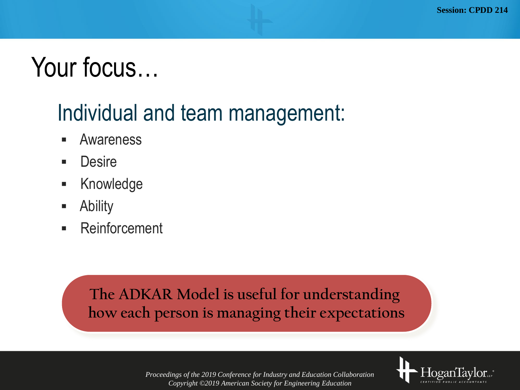### Your focus…

#### Individual and team management:

- **Awareness**
- Desire
- **Knowledge**
- Ability
- Reinforcement

#### **The ADKAR Model is useful for understanding how each person is managing their expectations**

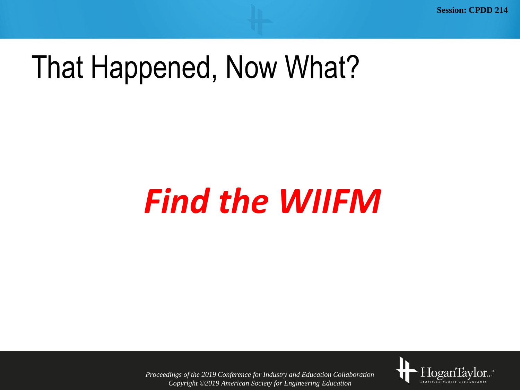**Session: CPDD 214**

## That Happened, Now What?

# *Find the WIIFM*